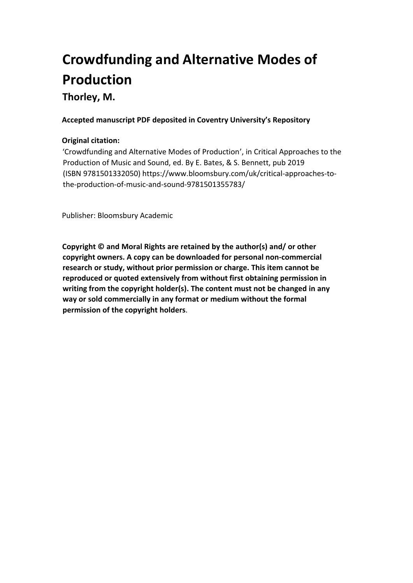# **Crowdfunding and Alternative Modes of Production Thorley, M.**

**Accepted manuscript PDF deposited in Coventry University's Repository** 

# **Original citation:**

'Crowdfunding and Alternative Modes of Production', in Critical Approaches to the Production of Music and Sound, ed. By E. Bates, & S. Bennett, pub 2019 (ISBN 9781501332050) https://www.bloomsbury.com/uk/critical-approaches-tothe-production-of-music-and-sound-9781501355783/

Publisher: Bloomsbury Academic

**Copyright © and Moral Rights are retained by the author(s) and/ or other copyright owners. A copy can be downloaded for personal non-commercial research or study, without prior permission or charge. This item cannot be reproduced or quoted extensively from without first obtaining permission in writing from the copyright holder(s). The content must not be changed in any way or sold commercially in any format or medium without the formal permission of the copyright holders**.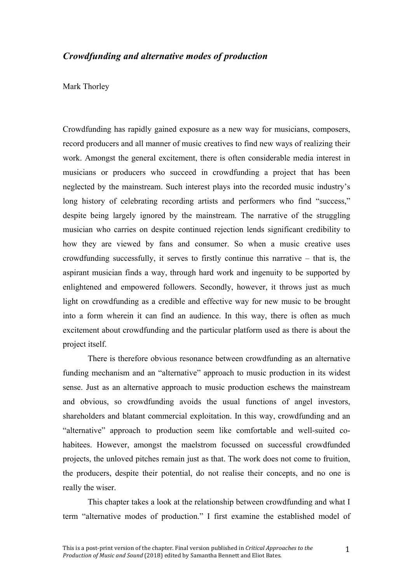# *Crowdfunding and alternative modes of production*

Mark Thorley

 Crowdfunding has rapidly gained exposure as a new way for musicians, composers, record producers and all manner of music creatives to find new ways of realizing their work. Amongst the general excitement, there is often considerable media interest in musicians or producers who succeed in crowdfunding a project that has been neglected by the mainstream. Such interest plays into the recorded music industry's despite being largely ignored by the mainstream. The narrative of the struggling musician who carries on despite continued rejection lends significant credibility to how they are viewed by fans and consumer. So when a music creative uses crowdfunding successfully, it serves to firstly continue this narrative – that is, the aspirant musician finds a way, through hard work and ingenuity to be supported by enlightened and empowered followers. Secondly, however, it throws just as much light on crowdfunding as a credible and effective way for new music to be brought into a form wherein it can find an audience. In this way, there is often as much excitement about crowdfunding and the particular platform used as there is about the long history of celebrating recording artists and performers who find "success," project itself.

 There is therefore obvious resonance between crowdfunding as an alternative funding mechanism and an "alternative" approach to music production in its widest sense. Just as an alternative approach to music production eschews the mainstream and obvious, so crowdfunding avoids the usual functions of angel investors, shareholders and blatant commercial exploitation. In this way, crowdfunding and an "alternative" approach to production seem like comfortable and well-suited co- habitees. However, amongst the maelstrom focussed on successful crowdfunded projects, the unloved pitches remain just as that. The work does not come to fruition, the producers, despite their potential, do not realise their concepts, and no one is really the wiser.

 This chapter takes a look at the relationship between crowdfunding and what I term "alternative modes of production." I first examine the established model of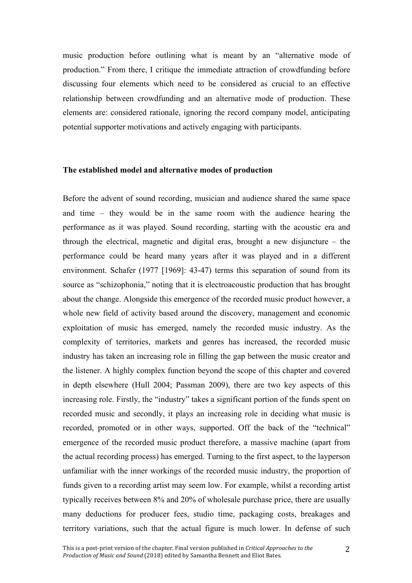music production before outlining what is meant by an "alternative mode of production." From there, I critique the immediate attraction of crowdfunding before discussing four elements which need to be considered as crucial to an effective relationship between crowdfunding and an alternative mode of production. These elements are: considered rationale, ignoring the record company model, anticipating potential supporter motivations and actively engaging with participants.

## **The established model and alternative modes of production**

 Before the advent of sound recording, musician and audience shared the same space and time – they would be in the same room with the audience hearing the performance as it was played. Sound recording, starting with the acoustic era and through the electrical, magnetic and digital eras, brought a new disjuncture – the performance could be heard many years after it was played and in a different environment. Schafer (1977 [1969]: 43-47) terms this separation of sound from its source as "schizophonia," noting that it is electroacoustic production that has brought about the change. Alongside this emergence of the recorded music product however, a whole new field of activity based around the discovery, management and economic exploitation of music has emerged, namely the recorded music industry. As the complexity of territories, markets and genres has increased, the recorded music industry has taken an increasing role in filling the gap between the music creator and the listener. A highly complex function beyond the scope of this chapter and covered in depth elsewhere (Hull 2004; Passman 2009), there are two key aspects of this increasing role. Firstly, the "industry" takes a significant portion of the funds spent on recorded music and secondly, it plays an increasing role in deciding what music is recorded, promoted or in other ways, supported. Off the back of the "technical" emergence of the recorded music product therefore, a massive machine (apart from the actual recording process) has emerged. Turning to the first aspect, to the layperson unfamiliar with the inner workings of the recorded music industry, the proportion of funds given to a recording artist may seem low. For example, whilst a recording artist typically receives between 8% and 20% of wholesale purchase price, there are usually many deductions for producer fees, studio time, packaging costs, breakages and territory variations, such that the actual figure is much lower. In defense of such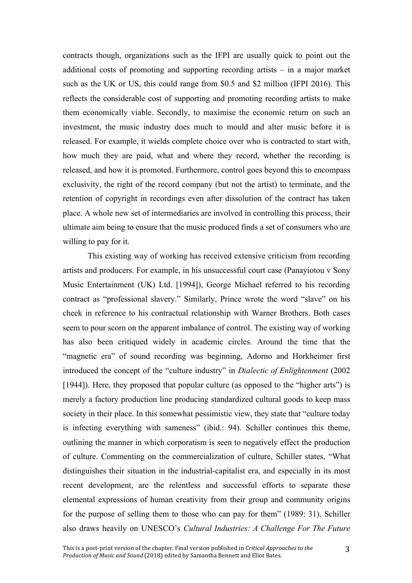contracts though, organizations such as the IFPI are usually quick to point out the additional costs of promoting and supporting recording artists – in a major market such as the UK or US, this could range from \$0.5 and \$2 million (IFPI 2016). This reflects the considerable cost of supporting and promoting recording artists to make them economically viable. Secondly, to maximise the economic return on such an investment, the music industry does much to mould and alter music before it is released. For example, it wields complete choice over who is contracted to start with, how much they are paid, what and where they record, whether the recording is released, and how it is promoted. Furthermore, control goes beyond this to encompass exclusivity, the right of the record company (but not the artist) to terminate, and the retention of copyright in recordings even after dissolution of the contract has taken place. A whole new set of intermediaries are involved in controlling this process, their ultimate aim being to ensure that the music produced finds a set of consumers who are willing to pay for it.

 This existing way of working has received extensive criticism from recording artists and producers. For example, in his unsuccessful court case (Panayiotou v Sony Music Entertainment (UK) Ltd. [1994]), George Michael referred to his recording contract as "professional slavery." Similarly, Prince wrote the word "slave" on his cheek in reference to his contractual relationship with Warner Brothers. Both cases seem to pour scorn on the apparent imbalance of control. The existing way of working has also been critiqued widely in academic circles. Around the time that the "magnetic era" of sound recording was beginning, Adorno and Horkheimer first introduced the concept of the "culture industry" in *Dialectic of Enlightenment* (2002 [1944]). Here, they proposed that popular culture (as opposed to the "higher arts") is merely a factory production line producing standardized cultural goods to keep mass society in their place. In this somewhat pessimistic view, they state that "culture today is infecting everything with sameness" (ibid.: 94). Schiller continues this theme, outlining the manner in which corporatism is seen to negatively effect the production distinguishes their situation in the industrial-capitalist era, and especially in its most recent development, are the relentless and successful efforts to separate these elemental expressions of human creativity from their group and community origins for the purpose of selling them to those who can pay for them" (1989: 31). Schiller  also draws heavily on UNESCO's *Cultural Industries: A Challenge For The Future*  of culture. Commenting on the commercialization of culture, Schiller states, "What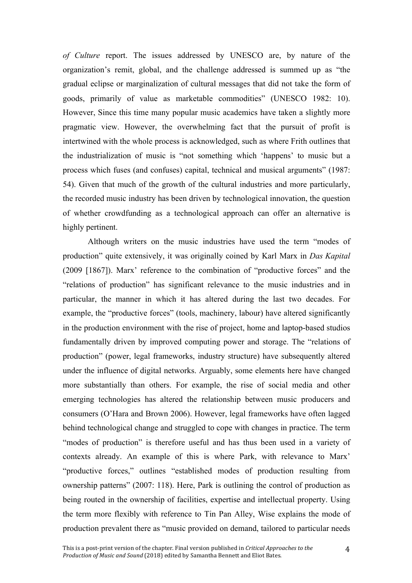*of Culture* report. The issues addressed by UNESCO are, by nature of the organization's remit, global, and the challenge addressed is summed up as "the gradual eclipse or marginalization of cultural messages that did not take the form of goods, primarily of value as marketable commodities" (UNESCO 1982: 10). However, Since this time many popular music academics have taken a slightly more pragmatic view. However, the overwhelming fact that the pursuit of profit is intertwined with the whole process is acknowledged, such as where Frith outlines that the industrialization of music is "not something which 'happens' to music but a process which fuses (and confuses) capital, technical and musical arguments" (1987: 54). Given that much of the growth of the cultural industries and more particularly, the recorded music industry has been driven by technological innovation, the question of whether crowdfunding as a technological approach can offer an alternative is highly pertinent.

 Although writers on the music industries have used the term "modes of production" quite extensively, it was originally coined by Karl Marx in *Das Kapital*  (2009 [1867]). Marx' reference to the combination of "productive forces" and the "relations of production" has significant relevance to the music industries and in particular, the manner in which it has altered during the last two decades. For example, the "productive forces" (tools, machinery, labour) have altered significantly in the production environment with the rise of project, home and laptop-based studios fundamentally driven by improved computing power and storage. The "relations of under the influence of digital networks. Arguably, some elements here have changed more substantially than others. For example, the rise of social media and other emerging technologies has altered the relationship between music producers and consumers (O'Hara and Brown 2006). However, legal frameworks have often lagged behind technological change and struggled to cope with changes in practice. The term "modes of production" is therefore useful and has thus been used in a variety of contexts already. An example of this is where Park, with relevance to Marx' "productive forces," outlines "established modes of production resulting from ownership patterns" (2007: 118). Here, Park is outlining the control of production as the term more flexibly with reference to Tin Pan Alley, Wise explains the mode of production prevalent there as "music provided on demand, tailored to particular needs production" (power, legal frameworks, industry structure) have subsequently altered being routed in the ownership of facilities, expertise and intellectual property. Using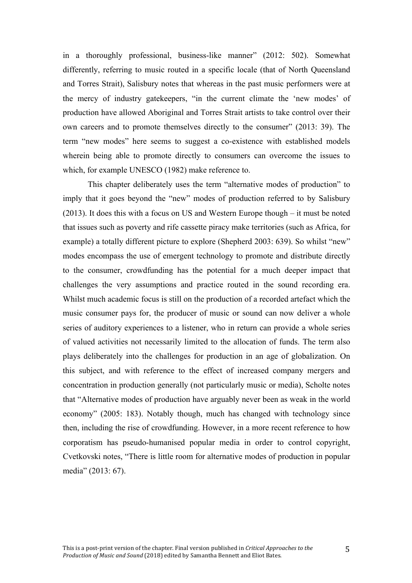in a thoroughly professional, business-like manner" (2012: 502). Somewhat own careers and to promote themselves directly to the consumer" (2013: 39). The differently, referring to music routed in a specific locale (that of North Queensland and Torres Strait), Salisbury notes that whereas in the past music performers were at the mercy of industry gatekeepers, "in the current climate the 'new modes' of production have allowed Aboriginal and Torres Strait artists to take control over their term "new modes" here seems to suggest a co-existence with established models wherein being able to promote directly to consumers can overcome the issues to which, for example UNESCO (1982) make reference to.

 (2013). It does this with a focus on US and Western Europe though – it must be noted example) a totally different picture to explore (Shepherd 2003: 639). So whilst "new" Whilst much academic focus is still on the production of a recorded artefact which the economy" (2005: 183). Notably though, much has changed with technology since media" (2013: 67). This chapter deliberately uses the term "alternative modes of production" to imply that it goes beyond the "new" modes of production referred to by Salisbury that issues such as poverty and rife cassette piracy make territories (such as Africa, for modes encompass the use of emergent technology to promote and distribute directly to the consumer, crowdfunding has the potential for a much deeper impact that challenges the very assumptions and practice routed in the sound recording era. music consumer pays for, the producer of music or sound can now deliver a whole series of auditory experiences to a listener, who in return can provide a whole series of valued activities not necessarily limited to the allocation of funds. The term also plays deliberately into the challenges for production in an age of globalization. On this subject, and with reference to the effect of increased company mergers and concentration in production generally (not particularly music or media), Scholte notes that "Alternative modes of production have arguably never been as weak in the world then, including the rise of crowdfunding. However, in a more recent reference to how corporatism has pseudo-humanised popular media in order to control copyright, Cvetkovski notes, "There is little room for alternative modes of production in popular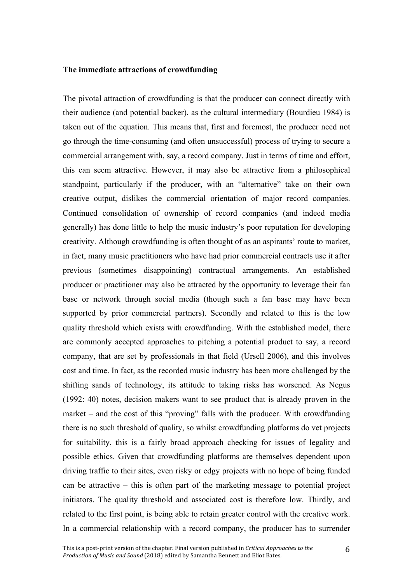## **The immediate attractions of crowdfunding**

 The pivotal attraction of crowdfunding is that the producer can connect directly with their audience (and potential backer), as the cultural intermediary (Bourdieu 1984) is taken out of the equation. This means that, first and foremost, the producer need not go through the time-consuming (and often unsuccessful) process of trying to secure a commercial arrangement with, say, a record company. Just in terms of time and effort, this can seem attractive. However, it may also be attractive from a philosophical standpoint, particularly if the producer, with an "alternative" take on their own creative output, dislikes the commercial orientation of major record companies. generally) has done little to help the music industry's poor reputation for developing creativity. Although crowdfunding is often thought of as an aspirants' route to market, in fact, many music practitioners who have had prior commercial contracts use it after base or network through social media (though such a fan base may have been supported by prior commercial partners). Secondly and related to this is the low quality threshold which exists with crowdfunding. With the established model, there are commonly accepted approaches to pitching a potential product to say, a record company, that are set by professionals in that field (Ursell 2006), and this involves cost and time. In fact, as the recorded music industry has been more challenged by the shifting sands of technology, its attitude to taking risks has worsened. As Negus (1992: 40) notes, decision makers want to see product that is already proven in the market – and the cost of this "proving" falls with the producer. With crowdfunding there is no such threshold of quality, so whilst crowdfunding platforms do vet projects for suitability, this is a fairly broad approach checking for issues of legality and possible ethics. Given that crowdfunding platforms are themselves dependent upon driving traffic to their sites, even risky or edgy projects with no hope of being funded can be attractive – this is often part of the marketing message to potential project initiators. The quality threshold and associated cost is therefore low. Thirdly, and related to the first point, is being able to retain greater control with the creative work. In a commercial relationship with a record company, the producer has to surrender Continued consolidation of ownership of record companies (and indeed media previous (sometimes disappointing) contractual arrangements. An established producer or practitioner may also be attracted by the opportunity to leverage their fan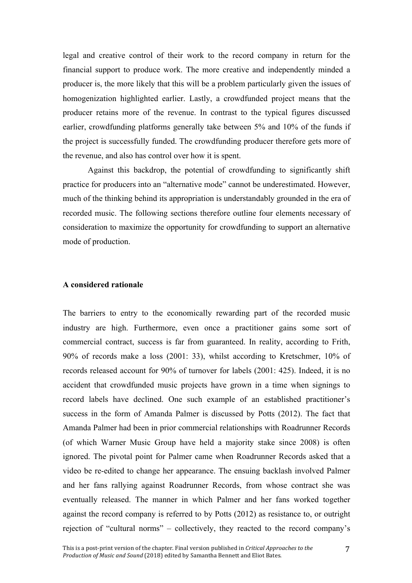legal and creative control of their work to the record company in return for the financial support to produce work. The more creative and independently minded a producer is, the more likely that this will be a problem particularly given the issues of homogenization highlighted earlier. Lastly, a crowdfunded project means that the producer retains more of the revenue. In contrast to the typical figures discussed earlier, crowdfunding platforms generally take between 5% and 10% of the funds if the project is successfully funded. The crowdfunding producer therefore gets more of the revenue, and also has control over how it is spent.

 Against this backdrop, the potential of crowdfunding to significantly shift practice for producers into an "alternative mode" cannot be underestimated. However, much of the thinking behind its appropriation is understandably grounded in the era of recorded music. The following sections therefore outline four elements necessary of consideration to maximize the opportunity for crowdfunding to support an alternative mode of production.

# **A considered rationale**

 The barriers to entry to the economically rewarding part of the recorded music industry are high. Furthermore, even once a practitioner gains some sort of commercial contract, success is far from guaranteed. In reality, according to Frith, 90% of records make a loss (2001: 33), whilst according to Kretschmer, 10% of records released account for 90% of turnover for labels (2001: 425). Indeed, it is no accident that crowdfunded music projects have grown in a time when signings to record labels have declined. One such example of an established practitioner's success in the form of Amanda Palmer is discussed by Potts (2012). The fact that Amanda Palmer had been in prior commercial relationships with Roadrunner Records (of which Warner Music Group have held a majority stake since 2008) is often ignored. The pivotal point for Palmer came when Roadrunner Records asked that a and her fans rallying against Roadrunner Records, from whose contract she was against the record company is referred to by Potts (2012) as resistance to, or outright rejection of "cultural norms" – collectively, they reacted to the record company's video be re-edited to change her appearance. The ensuing backlash involved Palmer eventually released. The manner in which Palmer and her fans worked together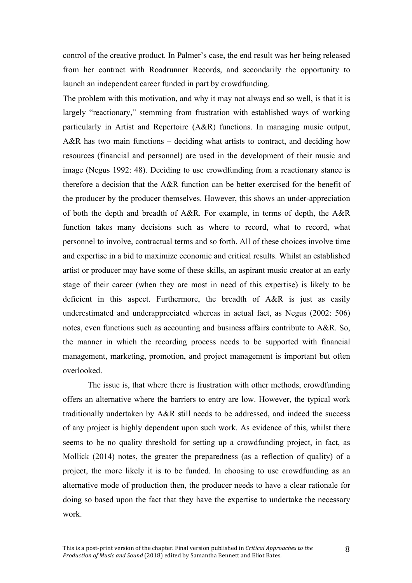control of the creative product. In Palmer's case, the end result was her being released from her contract with Roadrunner Records, and secondarily the opportunity to launch an independent career funded in part by crowdfunding.

 The problem with this motivation, and why it may not always end so well, is that it is largely "reactionary," stemming from frustration with established ways of working A&R has two main functions – deciding what artists to contract, and deciding how resources (financial and personnel) are used in the development of their music and image (Negus 1992: 48). Deciding to use crowdfunding from a reactionary stance is therefore a decision that the A&R function can be better exercised for the benefit of the producer by the producer themselves. However, this shows an under-appreciation of both the depth and breadth of A&R. For example, in terms of depth, the A&R function takes many decisions such as where to record, what to record, what personnel to involve, contractual terms and so forth. All of these choices involve time and expertise in a bid to maximize economic and critical results. Whilst an established artist or producer may have some of these skills, an aspirant music creator at an early stage of their career (when they are most in need of this expertise) is likely to be deficient in this aspect. Furthermore, the breadth of A&R is just as easily underestimated and underappreciated whereas in actual fact, as Negus (2002: 506) notes, even functions such as accounting and business affairs contribute to A&R. So, the manner in which the recording process needs to be supported with financial management, marketing, promotion, and project management is important but often particularly in Artist and Repertoire (A&R) functions. In managing music output, overlooked.

 The issue is, that where there is frustration with other methods, crowdfunding offers an alternative where the barriers to entry are low. However, the typical work traditionally undertaken by A&R still needs to be addressed, and indeed the success of any project is highly dependent upon such work. As evidence of this, whilst there Mollick (2014) notes, the greater the preparedness (as a reflection of quality) of a project, the more likely it is to be funded. In choosing to use crowdfunding as an alternative mode of production then, the producer needs to have a clear rationale for doing so based upon the fact that they have the expertise to undertake the necessary seems to be no quality threshold for setting up a crowdfunding project, in fact, as work.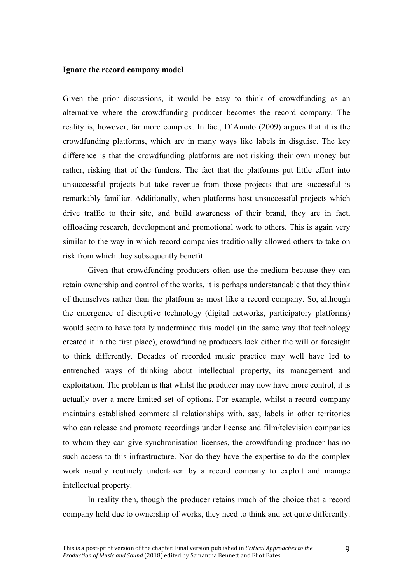#### **Ignore the record company model**

risk from which they subsequently benefit. Given the prior discussions, it would be easy to think of crowdfunding as an alternative where the crowdfunding producer becomes the record company. The reality is, however, far more complex. In fact, D'Amato (2009) argues that it is the crowdfunding platforms, which are in many ways like labels in disguise. The key difference is that the crowdfunding platforms are not risking their own money but rather, risking that of the funders. The fact that the platforms put little effort into unsuccessful projects but take revenue from those projects that are successful is remarkably familiar. Additionally, when platforms host unsuccessful projects which drive traffic to their site, and build awareness of their brand, they are in fact, offloading research, development and promotional work to others. This is again very similar to the way in which record companies traditionally allowed others to take on

Given that crowdfunding producers often use the medium because they can retain ownership and control of the works, it is perhaps understandable that they think of themselves rather than the platform as most like a record company. So, although the emergence of disruptive technology (digital networks, participatory platforms) would seem to have totally undermined this model (in the same way that technology created it in the first place), crowdfunding producers lack either the will or foresight to think differently. Decades of recorded music practice may well have led to entrenched ways of thinking about intellectual property, its management and exploitation. The problem is that whilst the producer may now have more control, it is actually over a more limited set of options. For example, whilst a record company maintains established commercial relationships with, say, labels in other territories who can release and promote recordings under license and film/television companies to whom they can give synchronisation licenses, the crowdfunding producer has no such access to this infrastructure. Nor do they have the expertise to do the complex work usually routinely undertaken by a record company to exploit and manage intellectual property.

In reality then, though the producer retains much of the choice that a record company held due to ownership of works, they need to think and act quite differently.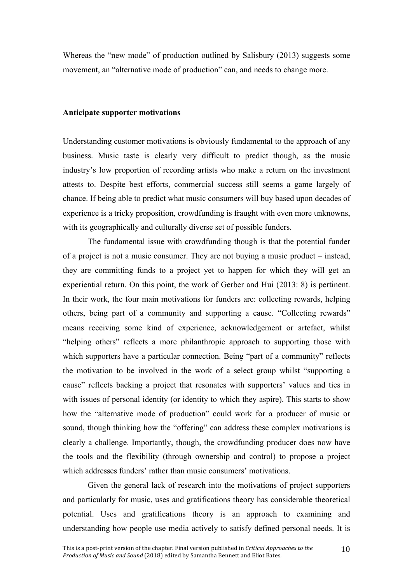Whereas the "new mode" of production outlined by Salisbury (2013) suggests some movement, an "alternative mode of production" can, and needs to change more.

#### **Anticipate supporter motivations**

 Understanding customer motivations is obviously fundamental to the approach of any business. Music taste is clearly very difficult to predict though, as the music industry's low proportion of recording artists who make a return on the investment attests to. Despite best efforts, commercial success still seems a game largely of chance. If being able to predict what music consumers will buy based upon decades of experience is a tricky proposition, crowdfunding is fraught with even more unknowns, with its geographically and culturally diverse set of possible funders.

 The fundamental issue with crowdfunding though is that the potential funder of a project is not a music consumer. They are not buying a music product – instead, they are committing funds to a project yet to happen for which they will get an experiential return. On this point, the work of Gerber and Hui (2013: 8) is pertinent. In their work, the four main motivations for funders are: collecting rewards, helping others, being part of a community and supporting a cause. "Collecting rewards" means receiving some kind of experience, acknowledgement or artefact, whilst "helping others" reflects a more philanthropic approach to supporting those with which supporters have a particular connection. Being "part of a community" reflects the motivation to be involved in the work of a select group whilst "supporting a cause" reflects backing a project that resonates with supporters' values and ties in with issues of personal identity (or identity to which they aspire). This starts to show how the "alternative mode of production" could work for a producer of music or sound, though thinking how the "offering" can address these complex motivations is clearly a challenge. Importantly, though, the crowdfunding producer does now have the tools and the flexibility (through ownership and control) to propose a project which addresses funders' rather than music consumers' motivations. which addresses funders' rather than music consumers' motivations.<br>Given the general lack of research into the motivations of project supporters

 and particularly for music, uses and gratifications theory has considerable theoretical potential. Uses and gratifications theory is an approach to examining and understanding how people use media actively to satisfy defined personal needs. It is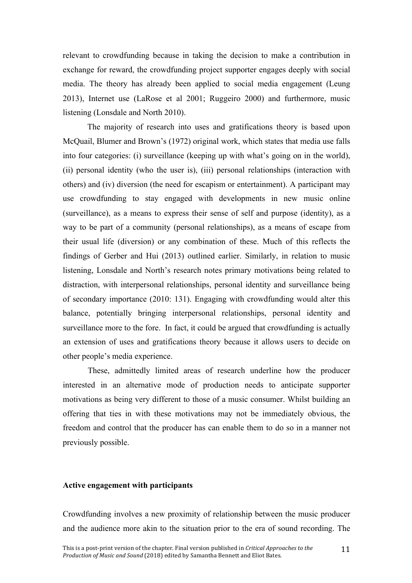relevant to crowdfunding because in taking the decision to make a contribution in exchange for reward, the crowdfunding project supporter engages deeply with social media. The theory has already been applied to social media engagement (Leung 2013), Internet use (LaRose et al 2001; Ruggeiro 2000) and furthermore, music listening (Lonsdale and North 2010).

 The majority of research into uses and gratifications theory is based upon McQuail, Blumer and Brown's (1972) original work, which states that media use falls into four categories: (i) surveillance (keeping up with what's going on in the world), (ii) personal identity (who the user is), (iii) personal relationships (interaction with others) and (iv) diversion (the need for escapism or entertainment). A participant may use crowdfunding to stay engaged with developments in new music online (surveillance), as a means to express their sense of self and purpose (identity), as a way to be part of a community (personal relationships), as a means of escape from their usual life (diversion) or any combination of these. Much of this reflects the findings of Gerber and Hui (2013) outlined earlier. Similarly, in relation to music listening, Lonsdale and North's research notes primary motivations being related to of secondary importance (2010: 131). Engaging with crowdfunding would alter this surveillance more to the fore. In fact, it could be argued that crowdfunding is actually an extension of uses and gratifications theory because it allows users to decide on distraction, with interpersonal relationships, personal identity and surveillance being balance, potentially bringing interpersonal relationships, personal identity and other people's media experience.

 These, admittedly limited areas of research underline how the producer interested in an alternative mode of production needs to anticipate supporter motivations as being very different to those of a music consumer. Whilst building an offering that ties in with these motivations may not be immediately obvious, the freedom and control that the producer has can enable them to do so in a manner not previously possible.

#### **Active engagement with participants**

 Crowdfunding involves a new proximity of relationship between the music producer and the audience more akin to the situation prior to the era of sound recording. The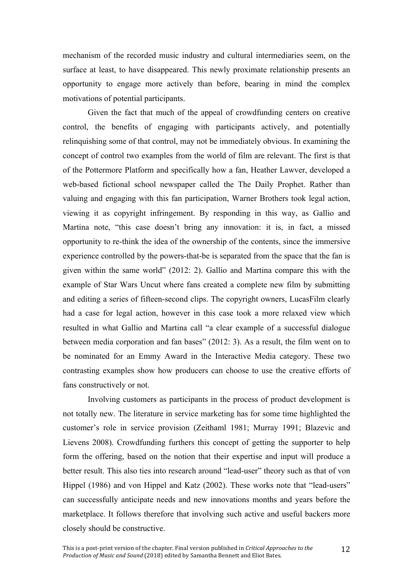mechanism of the recorded music industry and cultural intermediaries seem, on the surface at least, to have disappeared. This newly proximate relationship presents an opportunity to engage more actively than before, bearing in mind the complex motivations of potential participants.

 Given the fact that much of the appeal of crowdfunding centers on creative control, the benefits of engaging with participants actively, and potentially relinquishing some of that control, may not be immediately obvious. In examining the concept of control two examples from the world of film are relevant. The first is that of the Pottermore Platform and specifically how a fan, Heather Lawver, developed a web-based fictional school newspaper called the The Daily Prophet. Rather than valuing and engaging with this fan participation, Warner Brothers took legal action, viewing it as copyright infringement. By responding in this way, as Gallio and Martina note, "this case doesn't bring any innovation: it is, in fact, a missed opportunity to re-think the idea of the ownership of the contents, since the immersive experience controlled by the powers-that-be is separated from the space that the fan is given within the same world" (2012: 2). Gallio and Martina compare this with the example of Star Wars Uncut where fans created a complete new film by submitting and editing a series of fifteen-second clips. The copyright owners, LucasFilm clearly had a case for legal action, however in this case took a more relaxed view which resulted in what Gallio and Martina call "a clear example of a successful dialogue between media corporation and fan bases" (2012: 3). As a result, the film went on to be nominated for an Emmy Award in the Interactive Media category. These two contrasting examples show how producers can choose to use the creative efforts of fans constructively or not.

 Involving customers as participants in the process of product development is not totally new. The literature in service marketing has for some time highlighted the customer's role in service provision (Zeithaml 1981; Murray 1991; Blazevic and Lievens 2008). Crowdfunding furthers this concept of getting the supporter to help form the offering, based on the notion that their expertise and input will produce a better result. This also ties into research around "lead-user" theory such as that of von Hippel (1986) and von Hippel and Katz (2002). These works note that "lead-users" can successfully anticipate needs and new innovations months and years before the marketplace. It follows therefore that involving such active and useful backers more closely should be constructive.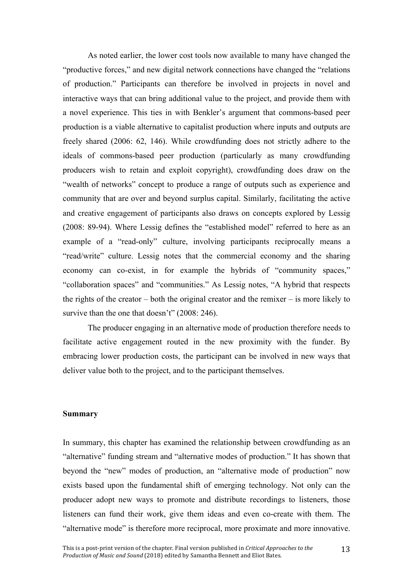As noted earlier, the lower cost tools now available to many have changed the "productive forces," and new digital network connections have changed the "relations of production." Participants can therefore be involved in projects in novel and interactive ways that can bring additional value to the project, and provide them with a novel experience. This ties in with Benkler's argument that commons-based peer production is a viable alternative to capitalist production where inputs and outputs are freely shared (2006: 62, 146). While crowdfunding does not strictly adhere to the ideals of commons-based peer production (particularly as many crowdfunding producers wish to retain and exploit copyright), crowdfunding does draw on the "wealth of networks" concept to produce a range of outputs such as experience and community that are over and beyond surplus capital. Similarly, facilitating the active and creative engagement of participants also draws on concepts explored by Lessig (2008: 89-94). Where Lessig defines the "established model" referred to here as an example of a "read-only" culture, involving participants reciprocally means a "read/write" culture. Lessig notes that the commercial economy and the sharing economy can co-exist, in for example the hybrids of "community spaces," "collaboration spaces" and "communities." As Lessig notes, "A hybrid that respects the rights of the creator – both the original creator and the remixer – is more likely to survive than the one that doesn't" (2008: 246).

 The producer engaging in an alternative mode of production therefore needs to facilitate active engagement routed in the new proximity with the funder. By embracing lower production costs, the participant can be involved in new ways that deliver value both to the project, and to the participant themselves.

## **Summary**

 In summary, this chapter has examined the relationship between crowdfunding as an "alternative" funding stream and "alternative modes of production." It has shown that beyond the "new" modes of production, an "alternative mode of production" now exists based upon the fundamental shift of emerging technology. Not only can the producer adopt new ways to promote and distribute recordings to listeners, those listeners can fund their work, give them ideas and even co-create with them. The "alternative mode" is therefore more reciprocal, more proximate and more innovative.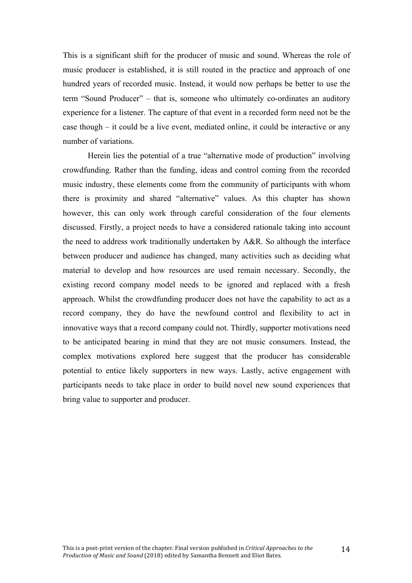This is a significant shift for the producer of music and sound. Whereas the role of music producer is established, it is still routed in the practice and approach of one hundred years of recorded music. Instead, it would now perhaps be better to use the term "Sound Producer" – that is, someone who ultimately co-ordinates an auditory experience for a listener. The capture of that event in a recorded form need not be the case though – it could be a live event, mediated online, it could be interactive or any number of variations.

 Herein lies the potential of a true "alternative mode of production" involving crowdfunding. Rather than the funding, ideas and control coming from the recorded music industry, these elements come from the community of participants with whom there is proximity and shared "alternative" values. As this chapter has shown however, this can only work through careful consideration of the four elements discussed. Firstly, a project needs to have a considered rationale taking into account the need to address work traditionally undertaken by A&R. So although the interface between producer and audience has changed, many activities such as deciding what material to develop and how resources are used remain necessary. Secondly, the existing record company model needs to be ignored and replaced with a fresh approach. Whilst the crowdfunding producer does not have the capability to act as a record company, they do have the newfound control and flexibility to act in innovative ways that a record company could not. Thirdly, supporter motivations need to be anticipated bearing in mind that they are not music consumers. Instead, the complex motivations explored here suggest that the producer has considerable potential to entice likely supporters in new ways. Lastly, active engagement with participants needs to take place in order to build novel new sound experiences that bring value to supporter and producer.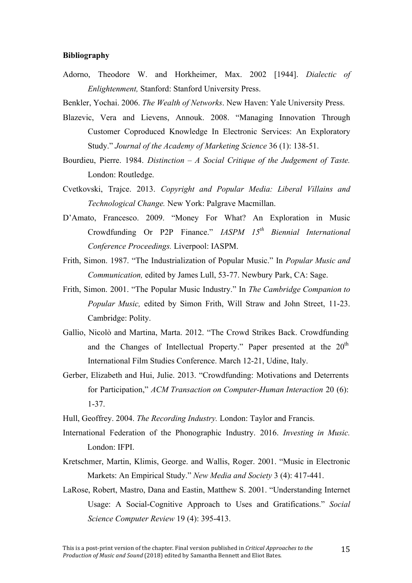### **Bibliography**

 Adorno, Theodore W. and Horkheimer, Max. 2002 [1944]. *Dialectic of Enlightenment,* Stanford: Stanford University Press.

Benkler, Yochai. 2006. *The Wealth of Networks*. New Haven: Yale University Press.

- Blazevic, Vera and Lievens, Annouk. 2008. "Managing Innovation Through Customer Coproduced Knowledge In Electronic Services: An Exploratory Study." *Journal of the Academy of Marketing Science* 36 (1): 138-51.
- Bourdieu, Pierre. 1984. *Distinction A Social Critique of the Judgement of Taste.*  London: Routledge.
- Cvetkovski, Trajce. 2013. *Copyright and Popular Media: Liberal Villains and Technological Change.* New York: Palgrave Macmillan.
- Crowdfunding Or P2P Finance." *IASPM 15th Biennial International*  D'Amato, Francesco. 2009. "Money For What? An Exploration in Music *Conference Proceedings.* Liverpool: IASPM.
- Frith, Simon. 1987. "The Industrialization of Popular Music." In *Popular Music and Communication,* edited by James Lull, 53-77. Newbury Park, CA: Sage.
- Frith, Simon. 2001. "The Popular Music Industry." In *The Cambridge Companion to Popular Music,* edited by Simon Frith, Will Straw and John Street, 11-23. Cambridge: Polity.
- Gallio, Nicolò and Martina, Marta. 2012. "The Crowd Strikes Back. Crowdfunding and the Changes of Intellectual Property." Paper presented at the  $20<sup>th</sup>$ International Film Studies Conference. March 12-21, Udine, Italy.
- Gerber, Elizabeth and Hui, Julie. 2013. "Crowdfunding: Motivations and Deterrents for Participation," *ACM Transaction on Computer-Human Interaction* 20 (6): 1-37.
- Hull, Geoffrey. 2004. *The Recording Industry.* London: Taylor and Francis.
- International Federation of the Phonographic Industry. 2016. *Investing in Music.*  London: IFPI.
- Kretschmer, Martin, Klimis, George. and Wallis, Roger. 2001. "Music in Electronic  Markets: An Empirical Study." *New Media and Society* 3 (4): 417-441.
- LaRose, Robert, Mastro, Dana and Eastin, Matthew S. 2001. "Understanding Internet Usage: A Social-Cognitive Approach to Uses and Gratifications." *Social Science Computer Review* 19 (4): 395-413.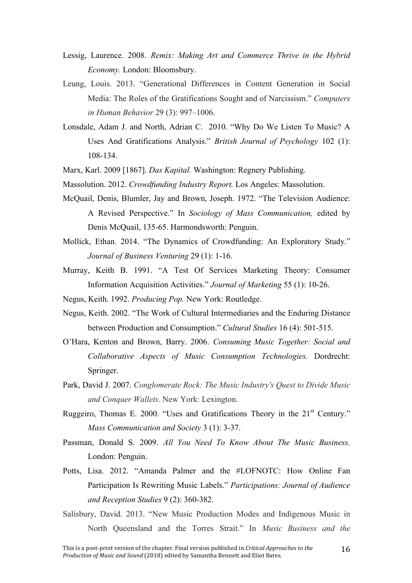- Lessig, Laurence. 2008. Remix: Making Art and Commerce Thrive in the Hybrid *Economy.* London: Bloomsbury.
- Leung, Louis. 2013. "Generational Differences in Content Generation in Social Media: The Roles of the Gratifications Sought and of Narcissism." *Computers in Human Behavior* 29 (3): 997–1006.
- Lonsdale, Adam J. and North, Adrian C. 2010. "Why Do We Listen To Music? A Uses And Gratifications Analysis." *British Journal of Psychology* 102 (1): 108-134.
- Marx, Karl. 2009 [1867]. *Das Kapital.* Washington: Regnery Publishing.
- Massolution. 2012. *Crowdfunding Industry Report.* Los Angeles: Massolution.
- McQuail, Denis, Blumler, Jay and Brown, Joseph. 1972. "The Television Audience:  A Revised Perspective." In *Sociology of Mass Communication,* edited by Denis McQuail, 135-65. Harmondsworth: Penguin.
- Mollick, Ethan. 2014. "The Dynamics of Crowdfunding: An Exploratory Study." *Journal of Business Venturing* 29 (1): 1-16.
- Murray, Keith B. 1991. "A Test Of Services Marketing Theory: Consumer Information Acquisition Activities." *Journal of Marketing* 55 (1): 10-26.
- Negus, Keith. 1992. *Producing Pop.* New York: Routledge.
- Negus, Keith. 2002. "The Work of Cultural Intermediaries and the Enduring Distance between Production and Consumption." *Cultural Studies* 16 (4): 501-515.
- O'Hara, Kenton and Brown, Barry. 2006. *Consuming Music Together: Social and Collaborative Aspects of Music Consumption Technologies.* Dordrecht: Springer.
- Park, David J. 2007. *Conglomerate Rock: The Music Industry's Quest to Divide Music and Conquer Wallets*. New York: Lexington.
- Ruggeiro, Thomas E. 2000. "Uses and Gratifications Theory in the  $21<sup>st</sup>$  Century." *Mass Communication and Society* 3 (1): 3-37.
- Passman, Donald S. 2009. *All You Need To Know About The Music Business.*  London: Penguin.
- Potts, Lisa. 2012. "Amanda Palmer and the #LOFNOTC: How Online Fan Participation Is Rewriting Music Labels." *Participations: Journal of Audience and Reception Studies* 9 (2): 360-382.
- Salisbury, David. 2013. "New Music Production Modes and Indigenous Music in North Queensland and the Torres Strait." In *Music Business and the*

16